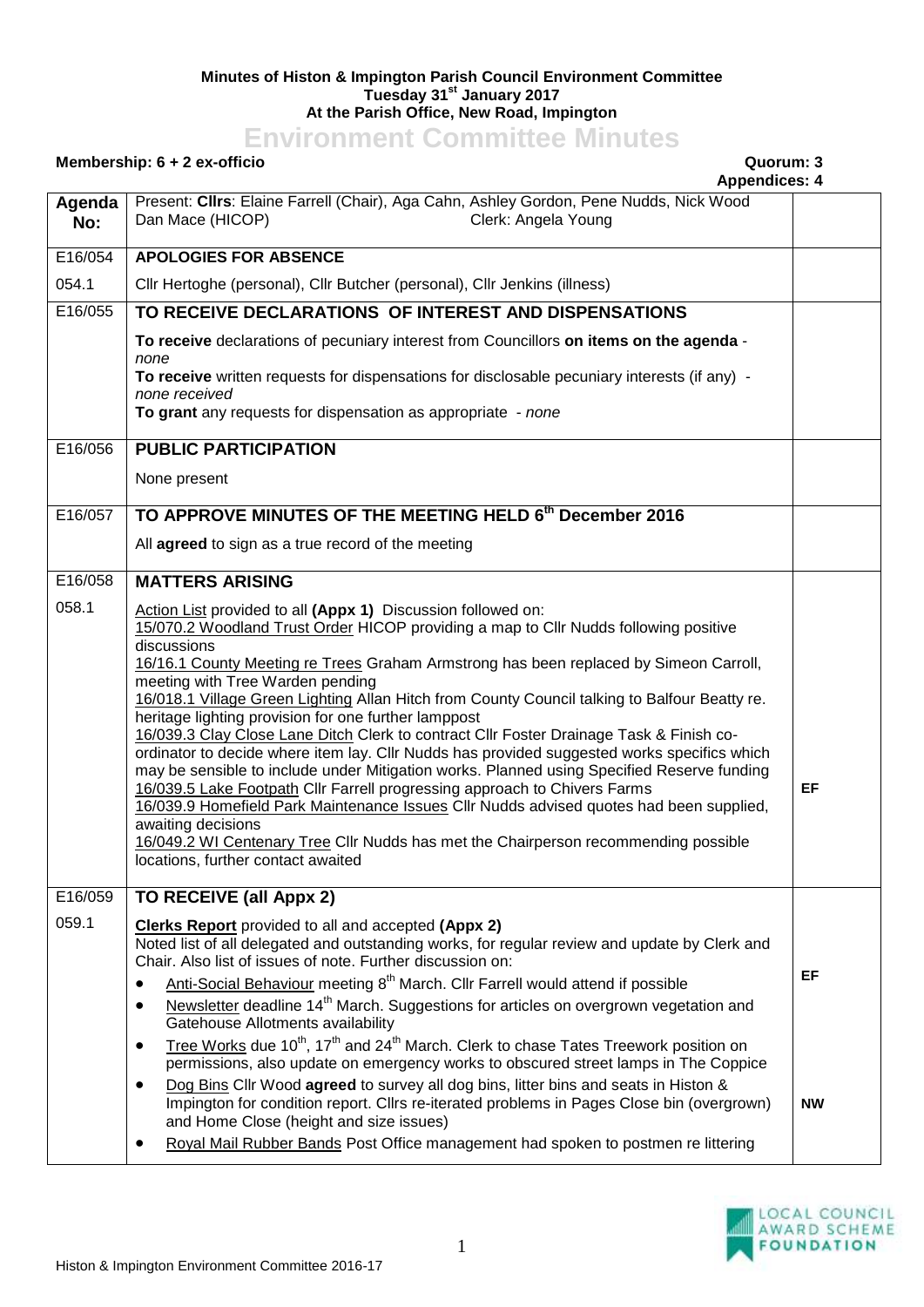## **Minutes of Histon & Impington Parish Council Environment Committee Tuesday 31st January 2017 At the Parish Office, New Road, Impington**

## **Environment Committee Minutes**

## **Membership: 6 + 2 ex-officio Quorum: 3**

**Appendices: 4**

|               | Appendices: 4                                                                                                                                                                                                                |           |
|---------------|------------------------------------------------------------------------------------------------------------------------------------------------------------------------------------------------------------------------------|-----------|
| Agenda<br>No: | Present: Clirs: Elaine Farrell (Chair), Aga Cahn, Ashley Gordon, Pene Nudds, Nick Wood<br>Dan Mace (HICOP)<br>Clerk: Angela Young                                                                                            |           |
| E16/054       | <b>APOLOGIES FOR ABSENCE</b>                                                                                                                                                                                                 |           |
| 054.1         | Cllr Hertoghe (personal), Cllr Butcher (personal), Cllr Jenkins (illness)                                                                                                                                                    |           |
| E16/055       | TO RECEIVE DECLARATIONS OF INTEREST AND DISPENSATIONS                                                                                                                                                                        |           |
|               | To receive declarations of pecuniary interest from Councillors on items on the agenda -<br>none                                                                                                                              |           |
|               | To receive written requests for dispensations for disclosable pecuniary interests (if any) -                                                                                                                                 |           |
|               | none received<br>To grant any requests for dispensation as appropriate - none                                                                                                                                                |           |
| E16/056       | <b>PUBLIC PARTICIPATION</b>                                                                                                                                                                                                  |           |
|               | None present                                                                                                                                                                                                                 |           |
| E16/057       | TO APPROVE MINUTES OF THE MEETING HELD 6th December 2016                                                                                                                                                                     |           |
|               | All agreed to sign as a true record of the meeting                                                                                                                                                                           |           |
| E16/058       | <b>MATTERS ARISING</b>                                                                                                                                                                                                       |           |
| 058.1         | Action List provided to all (Appx 1) Discussion followed on:                                                                                                                                                                 |           |
|               | 15/070.2 Woodland Trust Order HICOP providing a map to Cllr Nudds following positive<br>discussions                                                                                                                          |           |
|               | 16/16.1 County Meeting re Trees Graham Armstrong has been replaced by Simeon Carroll,                                                                                                                                        |           |
|               | meeting with Tree Warden pending<br>16/018.1 Village Green Lighting Allan Hitch from County Council talking to Balfour Beatty re.                                                                                            |           |
|               | heritage lighting provision for one further lamppost                                                                                                                                                                         |           |
|               | 16/039.3 Clay Close Lane Ditch Clerk to contract Cllr Foster Drainage Task & Finish co-<br>ordinator to decide where item lay. Cllr Nudds has provided suggested works specifics which                                       |           |
|               | may be sensible to include under Mitigation works. Planned using Specified Reserve funding                                                                                                                                   |           |
|               | 16/039.5 Lake Footpath Cllr Farrell progressing approach to Chivers Farms<br>16/039.9 Homefield Park Maintenance Issues Cllr Nudds advised quotes had been supplied,                                                         | EF        |
|               | awaiting decisions                                                                                                                                                                                                           |           |
|               | 16/049.2 WI Centenary Tree Cllr Nudds has met the Chairperson recommending possible<br>locations, further contact awaited                                                                                                    |           |
|               |                                                                                                                                                                                                                              |           |
| E16/059       | TO RECEIVE (all Appx 2)                                                                                                                                                                                                      |           |
| 059.1         | Clerks Report provided to all and accepted (Appx 2)<br>Noted list of all delegated and outstanding works, for regular review and update by Clerk and                                                                         |           |
|               | Chair. Also list of issues of note. Further discussion on:                                                                                                                                                                   |           |
|               | Anti-Social Behaviour meeting 8 <sup>th</sup> March. Cllr Farrell would attend if possible                                                                                                                                   | EF        |
|               | Newsletter deadline 14 <sup>th</sup> March. Suggestions for articles on overgrown vegetation and<br>$\bullet$<br>Gatehouse Allotments availability                                                                           |           |
|               | Tree Works due 10 <sup>th</sup> , 17 <sup>th</sup> and 24 <sup>th</sup> March. Clerk to chase Tates Treework position on<br>$\bullet$<br>permissions, also update on emergency works to obscured street lamps in The Coppice |           |
|               | Dog Bins Cllr Wood agreed to survey all dog bins, litter bins and seats in Histon &<br>٠                                                                                                                                     |           |
|               | Impington for condition report. ClIrs re-iterated problems in Pages Close bin (overgrown)<br>and Home Close (height and size issues)                                                                                         | <b>NW</b> |
|               | Royal Mail Rubber Bands Post Office management had spoken to postmen re littering                                                                                                                                            |           |
|               |                                                                                                                                                                                                                              |           |

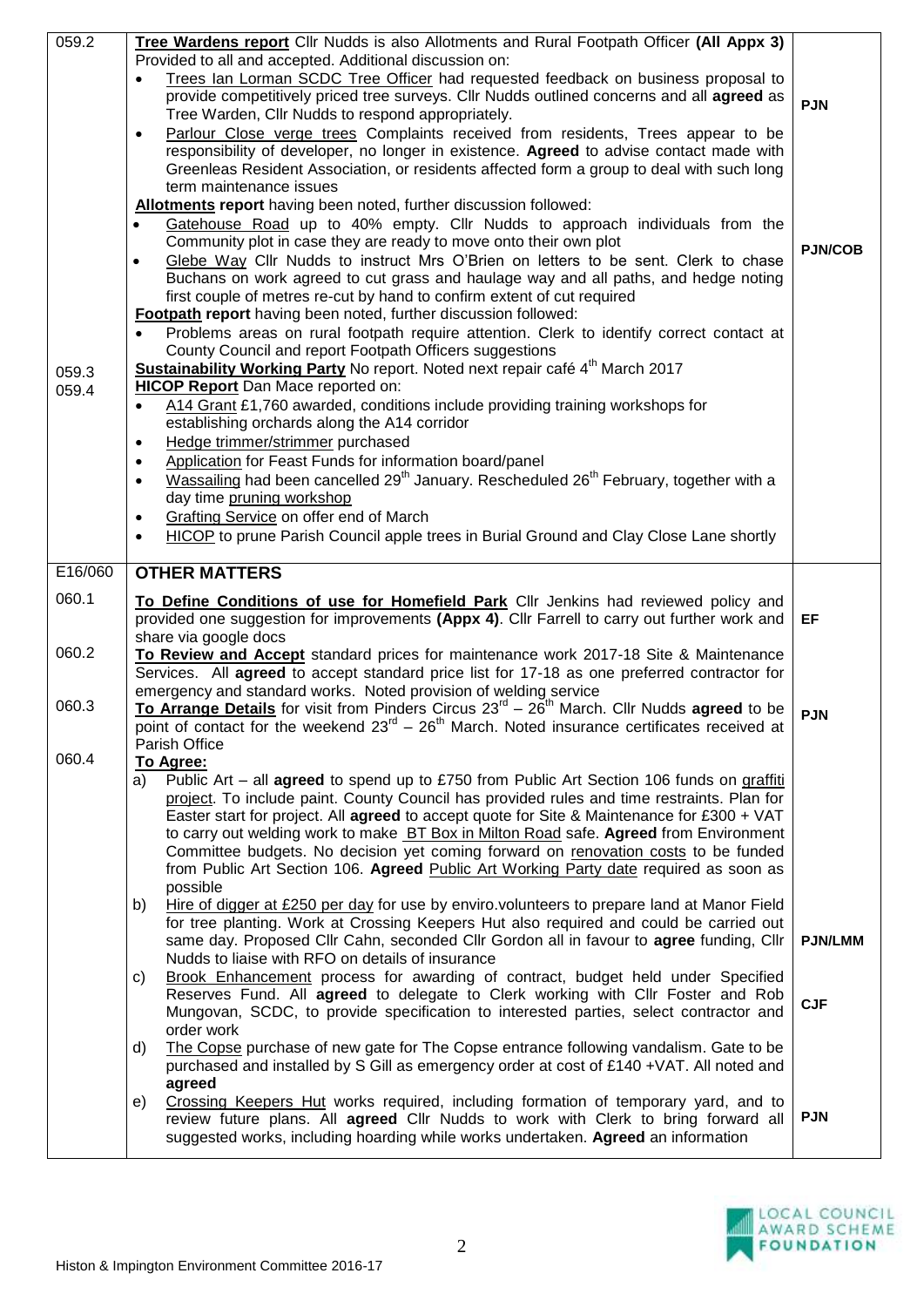| 059.2   | Tree Wardens report Cllr Nudds is also Allotments and Rural Footpath Officer (All Appx 3)                                                                                                |                |
|---------|------------------------------------------------------------------------------------------------------------------------------------------------------------------------------------------|----------------|
|         | Provided to all and accepted. Additional discussion on:                                                                                                                                  |                |
|         | Trees Ian Lorman SCDC Tree Officer had requested feedback on business proposal to                                                                                                        |                |
|         | provide competitively priced tree surveys. Cllr Nudds outlined concerns and all agreed as                                                                                                | <b>PJN</b>     |
|         | Tree Warden, Cllr Nudds to respond appropriately.                                                                                                                                        |                |
|         | Parlour Close verge trees Complaints received from residents, Trees appear to be<br>$\bullet$                                                                                            |                |
|         | responsibility of developer, no longer in existence. Agreed to advise contact made with                                                                                                  |                |
|         | Greenleas Resident Association, or residents affected form a group to deal with such long<br>term maintenance issues                                                                     |                |
|         | Allotments report having been noted, further discussion followed:                                                                                                                        |                |
|         | Gatehouse Road up to 40% empty. Cllr Nudds to approach individuals from the<br>$\bullet$                                                                                                 |                |
|         | Community plot in case they are ready to move onto their own plot                                                                                                                        |                |
|         | Glebe Way Cllr Nudds to instruct Mrs O'Brien on letters to be sent. Clerk to chase<br>$\bullet$                                                                                          | <b>PJN/COB</b> |
|         | Buchans on work agreed to cut grass and haulage way and all paths, and hedge noting                                                                                                      |                |
|         | first couple of metres re-cut by hand to confirm extent of cut required                                                                                                                  |                |
|         | Footpath report having been noted, further discussion followed:                                                                                                                          |                |
|         | Problems areas on rural footpath require attention. Clerk to identify correct contact at<br>$\bullet$                                                                                    |                |
|         | County Council and report Footpath Officers suggestions                                                                                                                                  |                |
| 059.3   | Sustainability Working Party No report. Noted next repair café 4 <sup>th</sup> March 2017                                                                                                |                |
| 059.4   | <b>HICOP Report</b> Dan Mace reported on:                                                                                                                                                |                |
|         | A14 Grant £1,760 awarded, conditions include providing training workshops for<br>$\bullet$                                                                                               |                |
|         | establishing orchards along the A14 corridor                                                                                                                                             |                |
|         | Hedge trimmer/strimmer purchased<br>$\bullet$                                                                                                                                            |                |
|         | Application for Feast Funds for information board/panel<br>$\bullet$                                                                                                                     |                |
|         | Wassailing had been cancelled 29 <sup>th</sup> January. Rescheduled 26 <sup>th</sup> February, together with a<br>$\bullet$                                                              |                |
|         | day time pruning workshop                                                                                                                                                                |                |
|         | Grafting Service on offer end of March<br>$\bullet$                                                                                                                                      |                |
|         | HICOP to prune Parish Council apple trees in Burial Ground and Clay Close Lane shortly<br>$\bullet$                                                                                      |                |
| E16/060 | <b>OTHER MATTERS</b>                                                                                                                                                                     |                |
|         |                                                                                                                                                                                          |                |
| 060.1   | To Define Conditions of use for Homefield Park Cllr Jenkins had reviewed policy and                                                                                                      |                |
|         |                                                                                                                                                                                          |                |
|         | provided one suggestion for improvements (Appx 4). Cllr Farrell to carry out further work and                                                                                            | EF             |
|         | share via google docs                                                                                                                                                                    |                |
| 060.2   | To Review and Accept standard prices for maintenance work 2017-18 Site & Maintenance                                                                                                     |                |
|         | Services. All agreed to accept standard price list for 17-18 as one preferred contractor for                                                                                             |                |
|         | emergency and standard works. Noted provision of welding service                                                                                                                         |                |
| 060.3   | To Arrange Details for visit from Pinders Circus $23^{rd} - 26^{th}$ March. Cllr Nudds agreed to be                                                                                      | <b>PJN</b>     |
|         | point of contact for the weekend $23^{rd} - 26^{th}$ March. Noted insurance certificates received at                                                                                     |                |
|         | Parish Office                                                                                                                                                                            |                |
| 060.4   | To Agree:                                                                                                                                                                                |                |
|         | Public Art – all <b>agreed</b> to spend up to £750 from Public Art Section 106 funds on graffiti<br>a)                                                                                   |                |
|         | project. To include paint. County Council has provided rules and time restraints. Plan for<br>Easter start for project. All agreed to accept quote for Site & Maintenance for £300 + VAT |                |
|         | to carry out welding work to make BT Box in Milton Road safe. Agreed from Environment                                                                                                    |                |
|         | Committee budgets. No decision yet coming forward on renovation costs to be funded                                                                                                       |                |
|         | from Public Art Section 106. Agreed Public Art Working Party date required as soon as                                                                                                    |                |
|         | possible                                                                                                                                                                                 |                |
|         | Hire of digger at £250 per day for use by enviro.volunteers to prepare land at Manor Field<br>b)                                                                                         |                |
|         | for tree planting. Work at Crossing Keepers Hut also required and could be carried out                                                                                                   |                |
|         | same day. Proposed Cllr Cahn, seconded Cllr Gordon all in favour to agree funding, Cllr                                                                                                  | <b>PJN/LMM</b> |
|         | Nudds to liaise with RFO on details of insurance                                                                                                                                         |                |
|         | Brook Enhancement process for awarding of contract, budget held under Specified<br>C)                                                                                                    |                |
|         | Reserves Fund. All agreed to delegate to Clerk working with Cllr Foster and Rob                                                                                                          | <b>CJF</b>     |
|         | Mungovan, SCDC, to provide specification to interested parties, select contractor and<br>order work                                                                                      |                |
|         | The Copse purchase of new gate for The Copse entrance following vandalism. Gate to be<br>d)                                                                                              |                |
|         | purchased and installed by S Gill as emergency order at cost of £140 + VAT. All noted and                                                                                                |                |
|         | agreed                                                                                                                                                                                   |                |
|         | Crossing Keepers Hut works required, including formation of temporary yard, and to<br>e)                                                                                                 |                |
|         | review future plans. All agreed Cllr Nudds to work with Clerk to bring forward all                                                                                                       | <b>PJN</b>     |
|         | suggested works, including hoarding while works undertaken. Agreed an information                                                                                                        |                |